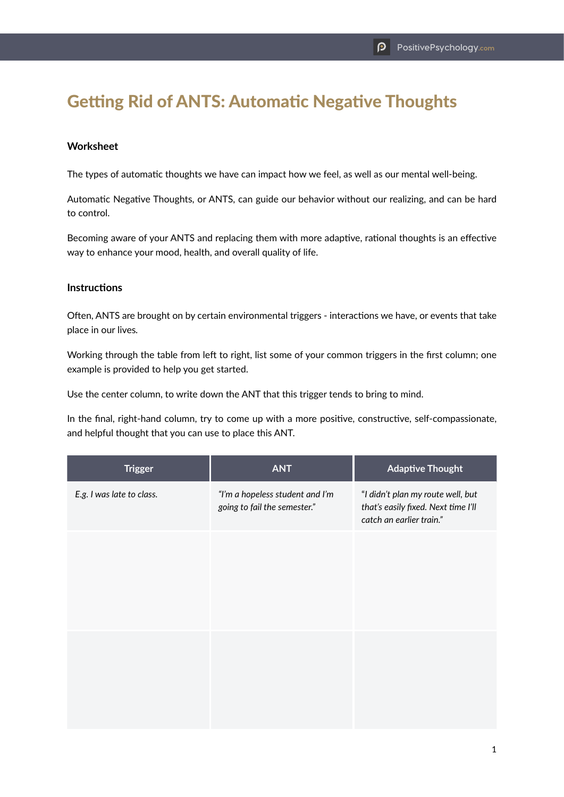## Getting Rid of ANTS: Automatic Negative Thoughts

## **Worksheet**

The types of automatic thoughts we have can impact how we feel, as well as our mental well-being.

Automatic Negative Thoughts, or ANTS, can guide our behavior without our realizing, and can be hard to control.

Becoming aware of your ANTS and replacing them with more adaptive, rational thoughts is an effective way to enhance your mood, health, and overall quality of life.

## **Instructions**

Often, ANTS are brought on by certain environmental triggers - interactions we have, or events that take place in our lives*.*

Working through the table from left to right, list some of your common triggers in the first column; one example is provided to help you get started.

Use the center column, to write down the ANT that this trigger tends to bring to mind.

In the final, right-hand column, try to come up with a more positive, constructive, self-compassionate, and helpful thought that you can use to place this ANT.

| <b>Trigger</b>            | <b>ANT</b>                                                      | <b>Adaptive Thought</b>                                                                              |
|---------------------------|-----------------------------------------------------------------|------------------------------------------------------------------------------------------------------|
| E.g. I was late to class. | "I'm a hopeless student and I'm<br>going to fail the semester." | "I didn't plan my route well, but<br>that's easily fixed. Next time I'll<br>catch an earlier train." |
|                           |                                                                 |                                                                                                      |
|                           |                                                                 |                                                                                                      |
|                           |                                                                 |                                                                                                      |
|                           |                                                                 |                                                                                                      |
|                           |                                                                 |                                                                                                      |
|                           |                                                                 |                                                                                                      |